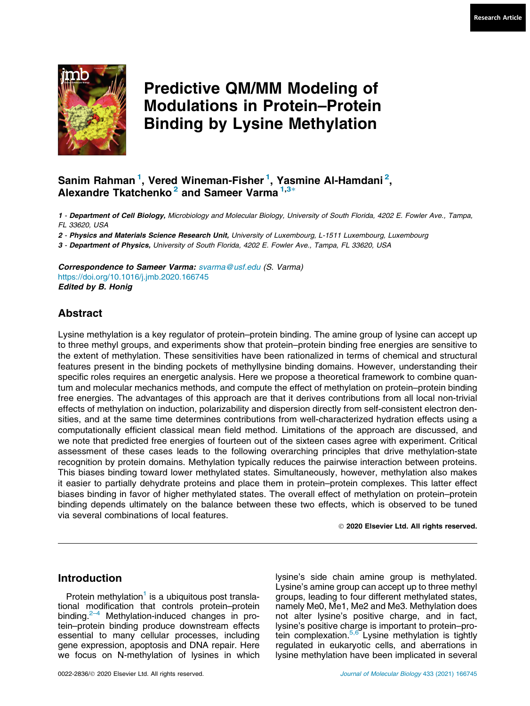

# Predictive QM/MM Modeling of Modulations in Protein–Protein Binding by Lysine Methylation

# Sanim Rahman <sup>1</sup>, Vered Wineman-Fisher <sup>1</sup>, Yasmine Al-Hamdani <sup>2</sup>, Alexandre Tkatchenko<sup>2</sup> and Sameer Varma<sup>1,3\*</sup>

1 - Department of Cell Biology, Microbiology and Molecular Biology, University of South Florida, 4202 E. Fowler Ave., Tampa, FL 33620, USA

2 - Physics and Materials Science Research Unit, University of Luxembourg, L-1511 Luxembourg, Luxembourg

3 - Department of Physics, University of South Florida, 4202 E. Fowler Ave., Tampa, FL 33620, USA

Correspondence to Sameer Varma: [svarma@usf.edu](mailto:svarma@usf.edu) (S. Varma) <https://doi.org/10.1016/j.jmb.2020.166745> Edited by B. Honig

# Abstract

Lysine methylation is a key regulator of protein–protein binding. The amine group of lysine can accept up to three methyl groups, and experiments show that protein–protein binding free energies are sensitive to the extent of methylation. These sensitivities have been rationalized in terms of chemical and structural features present in the binding pockets of methyllysine binding domains. However, understanding their specific roles requires an energetic analysis. Here we propose a theoretical framework to combine quantum and molecular mechanics methods, and compute the effect of methylation on protein–protein binding free energies. The advantages of this approach are that it derives contributions from all local non-trivial effects of methylation on induction, polarizability and dispersion directly from self-consistent electron densities, and at the same time determines contributions from well-characterized hydration effects using a computationally efficient classical mean field method. Limitations of the approach are discussed, and we note that predicted free energies of fourteen out of the sixteen cases agree with experiment. Critical assessment of these cases leads to the following overarching principles that drive methylation-state recognition by protein domains. Methylation typically reduces the pairwise interaction between proteins. This biases binding toward lower methylated states. Simultaneously, however, methylation also makes it easier to partially dehydrate proteins and place them in protein–protein complexes. This latter effect biases binding in favor of higher methylated states. The overall effect of methylation on protein–protein binding depends ultimately on the balance between these two effects, which is observed to be tuned via several combinations of local features.

2020 Elsevier Ltd. All rights reserved.

# Introduction

Protein methylation<sup>[1](#page-9-0)</sup> is a ubiquitous post translational modification that controls protein–protein binding.<sup>2–4</sup> Methylation-induced changes in protein–protein binding produce downstream effects essential to many cellular processes, including gene expression, apoptosis and DNA repair. Here we focus on N-methylation of lysines in which lysine's side chain amine group is methylated. Lysine's amine group can accept up to three methyl groups, leading to four different methylated states, namely Me0, Me1, Me2 and Me3. Methylation does not alter lysine's positive charge, and in fact, lysine's positive charge is important to protein–protein complexation.<sup>5,6</sup> Lysine methylation is tightly regulated in eukaryotic cells, and aberrations in lysine methylation have been implicated in several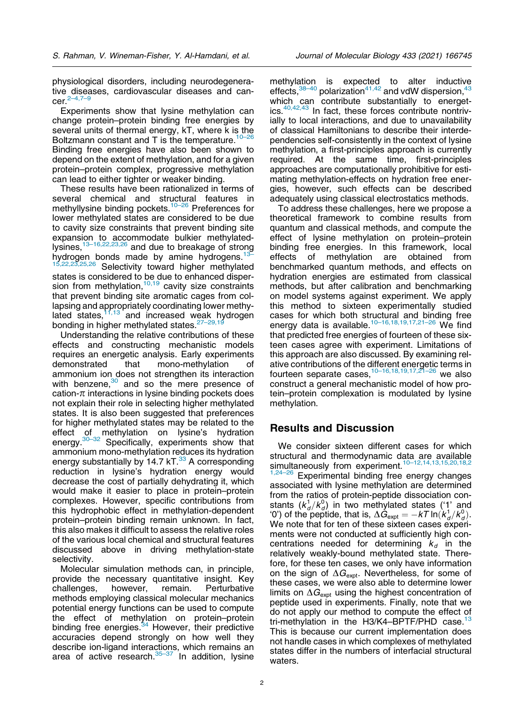physiological disorders, including neurodegenerative diseases, cardiovascular diseases and can $cer<sup>2–4,7</sup>$ 

Experiments show that lysine methylation can change protein–protein binding free energies by several units of thermal energy, kT, where k is the Boltzmann constant and  $T$  is the temperature.<sup>10–26</sup> Binding free energies have also been shown to depend on the extent of methylation, and for a given protein–protein complex, progressive methylation can lead to either tighter or weaker binding.

These results have been rationalized in terms of several chemical and structural features in methyllysine binding pockets.<sup>[10–26](#page-9-0)</sup> Preferences for lower methylated states are considered to be due to cavity size constraints that prevent binding site expansion to accommodate bulkier methylatedlysines[,13–16,22,23,26](#page-9-0) and due to breakage of strong hydrogen bonds made by amine hydrogens.<sup>13</sup><br>15,22,23,25,26 Selectivity toward bigher methylate Selectivity toward higher methylated states is considered to be due to enhanced dispersion from methylation, $10,19$  cavity size constraints that prevent binding site aromatic cages from collapsing and appropriately coordinating lower methylapsing and appropriately  $\frac{1}{2}$  and increased weak hydrogen bonding in higher methylated states.<sup>27-29,19</sup>

Understanding the relative contributions of these effects and constructing mechanistic models requires an energetic analysis. Early experiments demonstrated that mono-methylation of ammonium ion does not strengthen its interaction with benzene, $30$  and so the mere presence of cation- $\pi$  interactions in lysine binding pockets does not explain their role in selecting higher methylated states. It is also been suggested that preferences for higher methylated states may be related to the effect of methylation on lysine's hydration energy.<sup>30–32</sup> Specifically, experiments show that ammonium mono-methylation reduces its hydration energy substantially by 14.7  $kT$ .<sup>33</sup> A corresponding reduction in lysine's hydration energy would decrease the cost of partially dehydrating it, which would make it easier to place in protein–protein complexes. However, specific contributions from this hydrophobic effect in methylation-dependent protein–protein binding remain unknown. In fact, this also makes it difficult to assess the relative roles of the various local chemical and structural features discussed above in driving methylation-state selectivity.

Molecular simulation methods can, in principle, provide the necessary quantitative insight. Key challenges, however, remain. Perturbative methods employing classical molecular mechanics potential energy functions can be used to compute the effect of methylation on protein–protein binding free energies. $34$  However, their predictive accuracies depend strongly on how well they describe ion-ligand interactions, which remains an area of active research. $35-37$  In addition, lysine

methylation is expected to alter inductive effects,  $38-40$  polarization<sup>41,42</sup> and vdW dispersion,  $43$ which can contribute substantially to energetics. $40,42,43$  In fact, these forces contribute nontrivially to local interactions, and due to unavailability of classical Hamiltonians to describe their interdependencies self-consistently in the context of lysine methylation, a first-principles approach is currently required. At the same time, first-principles approaches are computationally prohibitive for estimating methylation-effects on hydration free energies, however, such effects can be described adequately using classical electrostatics methods.

To address these challenges, here we propose a theoretical framework to combine results from quantum and classical methods, and compute the effect of lysine methylation on protein–protein binding free energies. In this framework, local effects of methylation are obtained from benchmarked quantum methods, and effects on hydration energies are estimated from classical methods, but after calibration and benchmarking on model systems against experiment. We apply this method to sixteen experimentally studied cases for which both structural and binding free energy data is available.<sup>10–16,18,19,17,21–26</sup> We find that predicted free energies of fourteen of these sixteen cases agree with experiment. Limitations of this approach are also discussed. By examining relative contributions of the different energetic terms in fourteen separate cases,  $10-16,18,19,17,21-26$  we also construct a general mechanistic model of how protein–protein complexation is modulated by lysine methylation.

# Results and Discussion

We consider sixteen different cases for which structural and thermodynamic data are available simultaneously from experiment.<sup>10-12,14,13,15,20,18,2</sup> [1,24–26](#page-9-0) Experimental binding free energy changes associated with lysine methylation are determined

from the ratios of protein-peptide dissociation constants  $(k_d^1/k_d^0)$  in two methylated states ('1' and '0') of the peptide, that is,  $\Delta \hat{G}_{\text{expt}} = -kT \ln(k_d^1 / k_d^0)$ . We note that for ten of these sixteen cases experiments were not conducted at sufficiently high concentrations needed for determining  $k_d$  in the relatively weakly-bound methylated state. Therefore, for these ten cases, we only have information on the sign of  $\Delta G_{\text{exot}}$ . Nevertheless, for some of these cases, we were also able to determine lower limits on  $\Delta G_{\text{exot}}$  using the highest concentration of peptide used in experiments. Finally, note that we do not apply our method to compute the effect of tri-methylation in the H3/K4–BPTF/PHD case.<sup>[13](#page-9-0)</sup> This is because our current implementation does not handle cases in which complexes of methylated states differ in the numbers of interfacial structural waters.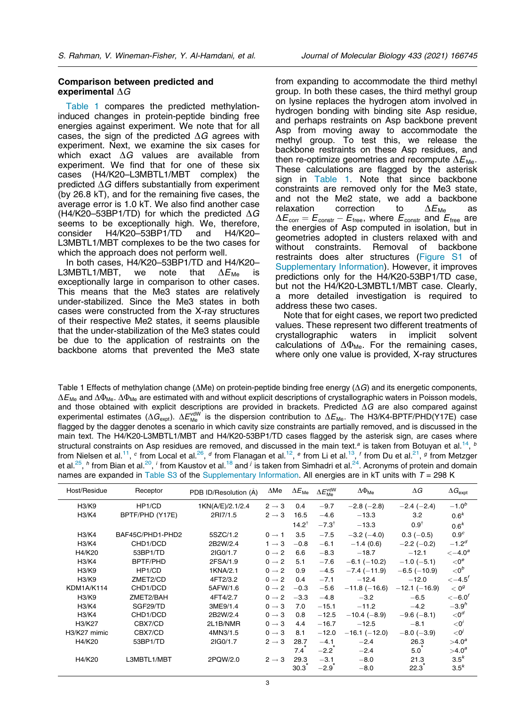#### <span id="page-2-0"></span>Comparison between predicted and experimental  $\Delta G$

Table 1 compares the predicted methylationinduced changes in protein-peptide binding free energies against experiment. We note that for all cases, the sign of the predicted  $\Delta G$  agrees with experiment. Next, we examine the six cases for which exact  $\Delta G$  values are available from experiment. We find that for one of these six cases (H4/K20–L3MBTL1/MBT complex) the predicted  $\Delta G$  differs substantially from experiment (by 26.8 kT), and for the remaining five cases, the average error is 1.0 kT. We also find another case (H4/K20–53BP1/TD) for which the predicted  $\Delta G$ seems to be exceptionally high. We, therefore, consider H4/K20–53BP1/TD and H4/K20– L3MBTL1/MBT complexes to be the two cases for which the approach does not perform well.

In both cases, H4/K20–53BP1/TD and H4/K20– L3MBTL1/MBT, we note that  $\Delta E_{\text{Me}}$  is exceptionally large in comparison to other cases. This means that the Me3 states are relatively under-stabilized. Since the Me3 states in both cases were constructed from the X-ray structures of their respective Me2 states, it seems plausible that the under-stabilization of the Me3 states could be due to the application of restraints on the backbone atoms that prevented the Me3 state

from expanding to accommodate the third methyl group. In both these cases, the third methyl group on lysine replaces the hydrogen atom involved in hydrogen bonding with binding site Asp residue, and perhaps restraints on Asp backbone prevent Asp from moving away to accommodate the methyl group. To test this, we release the backbone restraints on these Asp residues, and then re-optimize geometries and recompute  $\Delta E_{\text{Me}}$ . These calculations are flagged by the asterisk sign in Table 1. Note that since backbone constraints are removed only for the Me3 state, and not the Me2 state, we add a backbone<br>relaxation correction to  $\Delta E_{\text{Me}}$  as relaxation correction to  $\Delta E_{\text{Me}}$  as  $\Delta E_{\text{corr}} = E_{\text{constr}} - E_{\text{free}}$ , where  $E_{\text{constr}}$  and  $E_{\text{free}}$  are the energies of Asp computed in isolation, but in geometries adopted in clusters relaxed with and without constraints. Removal of backbone restraints does alter structures (Figure S1 of Supplementary Information). However, it improves predictions only for the H4/K20-53BP1/TD case, but not the H4/K20-L3MBTL1/MBT case. Clearly, a more detailed investigation is required to address these two cases.

Note that for eight cases, we report two predicted values. These represent two different treatments of crystallographic waters in implicit solvent calculations of  $\Delta\Phi_{\text{Me}}$ . For the remaining cases, where only one value is provided, X-ray structures

Table 1 Effects of methylation change ( $\Delta$ Me) on protein-peptide binding free energy ( $\Delta G$ ) and its energetic components,  $\Delta E_{\text{Me}}$  and  $\Delta \Phi_{\text{Me}}$ .  $\Delta \Phi_{\text{Me}}$  are estimated with and without explicit descriptions of crystallographic waters in Poisson models, and those obtained with explicit descriptions are provided in brackets. Predicted  $\Delta G$  are also compared against experimental estimates ( $\Delta G_{\rm expt}$ ).  $\Delta E_{\rm Me}^{\rm vdW}$  is the dispersion contribution to  $\Delta E_{\rm Me}$ . The H3/K4-BPTF/PHD(Y17E) case flagged by the dagger denotes a scenario in which cavity size constraints are partially removed, and is discussed in the main text. The H4/K20-L3MBTL1/MBT and H4/K20-53BP1/TD cases flagged by the asterisk sign, are cases where structural constraints on Asp residues are removed, and discussed in the main text.<sup>a</sup> is taken from Botuyan et al.<sup>14</sup>, <sup>b</sup> from Nielsen et al.<sup>[11](#page-9-0)</sup>,  $^c$  from Local et al.<sup>[26](#page-10-0)</sup>,  $^d$  from Flanagan et al.<sup>12</sup>,  $^e$  from Li et al.<sup>[13](#page-9-0)</sup>,  $^f$  from Du et al.<sup>[21](#page-10-0)</sup>,  $^g$  from Metzger et al.<sup>25</sup>, <sup>h</sup> from Bian et al.<sup>[20](#page-10-0)</sup>, <sup>i</sup> from Kaustov et al.<sup>[18](#page-9-0)</sup> and <sup>j</sup> is taken from Simhadri et al.<sup>24</sup>. Acronyms of protein and domain names are expanded in Table S3 of the Supplementary Information. All energies are in kT units with  $T = 298$  K

| Host/Residue | Receptor         | PDB ID/Resolution (A) | $\Delta$ Me       | $\Delta E_{\rm Me}$ | $\Delta E_{\rm Me}^{\rm vdW}$ | $\Delta\Phi_{\sf Me}$ | $\Delta G$         | $\Delta G_{\rm exot}$         |
|--------------|------------------|-----------------------|-------------------|---------------------|-------------------------------|-----------------------|--------------------|-------------------------------|
| H3/K9        | HP1/CD           | 1KN(A/E)/2.1/2.4      | $2 \rightarrow 3$ | 0.4                 | $-9.7$                        | $-2.8$ ( $-2.8$ )     | $-2.4(-2.4)$       | $-1.0^{b}$                    |
| H3/K4        | BPTF/PHD (Y17E)  | 2RI7/1.5              | $2 \rightarrow 3$ | 16.5                | $-4.6$                        | $-13.3$               | 3.2                | 0.6 <sup>k</sup>              |
|              |                  |                       |                   | $14.2^{\dagger}$    | $-7.3^{\dagger}$              | $-13.3$               | $0.9^{\dagger}$    | 0.6 <sup>k</sup>              |
| H3/K4        | BAF45C/PHD1-PHD2 | 5SZC/1.2              | $0 \rightarrow 1$ | 3.5                 | $-7.5$                        | $-3.2$ ( $-4.0$ )     | $0.3(-0.5)$        | 0.9 <sup>c</sup>              |
| H3/K4        | CHD1/DCD         | 2B2W/2.4              | $1 \rightarrow 3$ | $-0.8$              | $-6.1$                        | $-1.4(0.6)$           | $-2.2$ (-0.2)      | $-1.2d$                       |
| H4/K20       | 53BP1/TD         | 2IG0/1.7              | $0 \rightarrow 2$ | 6.6                 | $-8.3$                        | $-18.7$               | $-12.1$            | $\leftarrow$ 4.0 <sup>a</sup> |
| H3/K4        | <b>BPTF/PHD</b>  | 2FSA/1.9              | $0 \rightarrow 2$ | 5.1                 | $-7.6$                        | $-6.1$ ( $-10.2$ )    | $-1.0$ (-5.1)      | $<0^e$                        |
| H3/K9        | HP1/CD           | 1KNA/2.1              | $0 \rightarrow 2$ | 0.9                 | $-4.5$                        | $-7.4(-11.9)$         | $-6.5$ ( $-10.9$ ) | $<$ 0 <sup>b</sup>            |
| H3/K9        | ZMET2/CD         | 4FT2/3.2              | $0 \rightarrow 2$ | 0.4                 | $-7.1$                        | $-12.4$               | $-12.0$            | $\leftarrow$ 4.5 $'$          |
| KDM1A/K114   | CHD1/DCD         | 5AFW/1.6              | $0 \rightarrow 2$ | $-0.3$              | $-5.6$                        | $-11.8$ ( $-16.6$ )   | $-12.1(-16.9)$     | < 0 <sup>g</sup>              |
| H3/K9        | ZMET2/BAH        | 4FT4/2.7              | $0 \rightarrow 2$ | $-3.3$              | $-4.8$                        | $-3.2$                | $-6.5$             | $\leftarrow 6.0^f$            |
| H3/K4        | SGF29/TD         | 3ME9/1.4              | $0 \rightarrow 3$ | 7.0                 | $-15.1$                       | $-11.2$               | $-4.2$             | $-3.9h$                       |
| H3/K4        | CHD1/DCD         | 2B2W/2.4              | $0 \rightarrow 3$ | 0.8                 | $-12.5$                       | $-10.4(-8.9)$         | $-9.6(-8.1)$       | $<$ 0 <sup>d</sup>            |
| H3/K27       | CBX7/CD          | 2L1B/NMR              | $0 \rightarrow 3$ | 4.4                 | $-16.7$                       | $-12.5$               | $-8.1$             | $<$ 0'                        |
| H3/K27 mimic | CBX7/CD          | 4MN3/1.5              | $0 \rightarrow 3$ | 8.1                 | $-12.0$                       | $-16.1$ ( $-12.0$ )   | $-8.0$ ( $-3.9$ )  | < 0                           |
| H4/K20       | 53BP1/TD         | 2IG0/1.7              | $2 \rightarrow 3$ | 28.7                | $-4.1$                        | $-2.4$                | 26.3               | $>4.0^a$                      |
|              |                  |                       |                   | 7.4                 | $-2.2$                        | $-2.4$                | 5.0                | $>4.0^a$                      |
| H4/K20       | L3MBTL1/MBT      | 2PQW/2.0              | $2 \rightarrow 3$ | 29.3                | $-3.1$                        | $-8.0$                | 21.3               | 3.5 <sup>k</sup>              |
|              |                  |                       |                   | 30.3                | $-2.9$                        | $-8.0$                | 22.3               | 3.5 <sup>k</sup>              |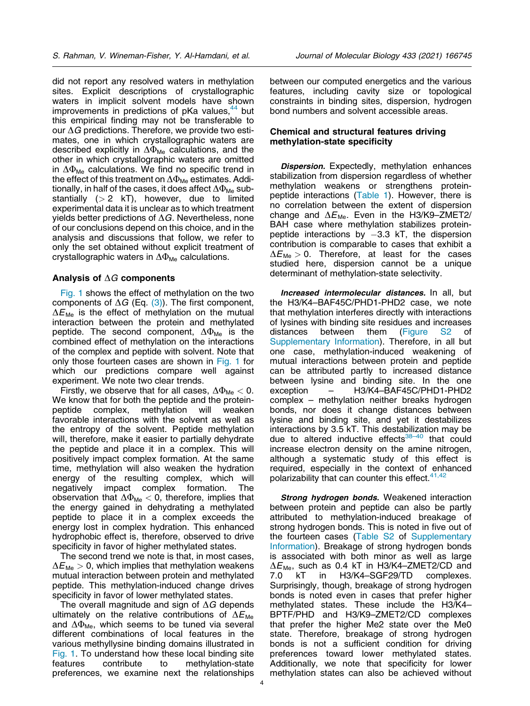did not report any resolved waters in methylation sites. Explicit descriptions of crystallographic waters in implicit solvent models have shown improvements in predictions of  $pKa$  values,  $44$  but this empirical finding may not be transferable to our  $\Delta G$  predictions. Therefore, we provide two estimates, one in which crystallographic waters are described explicitly in  $\Delta\Phi_{\text{Me}}$  calculations, and the other in which crystallographic waters are omitted in  $\Delta\Phi_{\text{Me}}$  calculations. We find no specific trend in the effect of this treatment on  $\Delta\Phi_{\text{Me}}$  estimates. Additionally, in half of the cases, it does affect  $\Delta\Phi_{\text{Me}}$  substantially  $(> 2$  kT), however, due to limited experimental data it is unclear as to which treatment yields better predictions of  $\Delta G$ . Nevertheless, none of our conclusions depend on this choice, and in the analysis and discussions that follow, we refer to only the set obtained without explicit treatment of crystallographic waters in  $\Delta\Phi_{\text{Me}}$  calculations.

## Analysis of  $\Delta G$  components

[Fig. 1](#page-4-0) shows the effect of methylation on the two components of  $\Delta G$  (Eq. [\(3\)](#page-7-0)). The first component,  $\Delta E_{\text{Me}}$  is the effect of methylation on the mutual interaction between the protein and methylated peptide. The second component,  $\Delta \Phi_{\text{Me}}$  is the combined effect of methylation on the interactions of the complex and peptide with solvent. Note that only those fourteen cases are shown in [Fig. 1](#page-4-0) for which our predictions compare well against experiment. We note two clear trends.

Firstly, we observe that for all cases,  $\Delta \Phi_{\text{Me}} < 0$ . We know that for both the peptide and the proteinpeptide complex, methylation will weaken favorable interactions with the solvent as well as the entropy of the solvent. Peptide methylation will, therefore, make it easier to partially dehydrate the peptide and place it in a complex. This will positively impact complex formation. At the same time, methylation will also weaken the hydration energy of the resulting complex, which will negatively impact complex formation. The observation that  $\Delta\Phi_{\text{Me}} < 0$ , therefore, implies that the energy gained in dehydrating a methylated peptide to place it in a complex exceeds the energy lost in complex hydration. This enhanced hydrophobic effect is, therefore, observed to drive specificity in favor of higher methylated states.

The second trend we note is that, in most cases,  $\Delta E_{\text{Me}} > 0$ , which implies that methylation weakens mutual interaction between protein and methylated peptide. This methylation-induced change drives specificity in favor of lower methylated states.

The overall magnitude and sign of  $\Delta G$  depends ultimately on the relative contributions of  $\Delta E_{\text{Me}}$ and  $\Delta\Phi_\text{Me}$ , which seems to be tuned via several different combinations of local features in the various methyllysine binding domains illustrated in [Fig. 1.](#page-4-0) To understand how these local binding site features contribute to methylation-state preferences, we examine next the relationships between our computed energetics and the various features, including cavity size or topological constraints in binding sites, dispersion, hydrogen bond numbers and solvent accessible areas.

#### Chemical and structural features driving methylation-state specificity

**Dispersion.** Expectedly, methylation enhances stabilization from dispersion regardless of whether methylation weakens or strengthens proteinpeptide interactions ([Table 1](#page-2-0)). However, there is no correlation between the extent of dispersion change and  $\Delta E_{\text{Me}}$ . Even in the H3/K9-ZMET2/ BAH case where methylation stabilizes proteinpeptide interactions by -3.3 kT, the dispersion contribution is comparable to cases that exhibit a  $\Delta E_{\text{Me}} > 0$ . Therefore, at least for the cases studied here, dispersion cannot be a unique determinant of methylation-state selectivity.

Increased intermolecular distances. In all, but the H3/K4–BAF45C/PHD1-PHD2 case, we note that methylation interferes directly with interactions of lysines with binding site residues and increases distances between them (Figure S2 of Supplementary Information). Therefore, in all but one case, methylation-induced weakening of mutual interactions between protein and peptide can be attributed partly to increased distance between lysine and binding site. In the one exception – H3/K4–BAF45C/PHD1-PHD2 complex – methylation neither breaks hydrogen bonds, nor does it change distances between lysine and binding site, and yet it destabilizes interactions by 3.5 kT. This destabilization may be due to altered inductive effects<sup>38-40</sup> that could increase electron density on the amine nitrogen, although a systematic study of this effect is required, especially in the context of enhanced polarizability that can counter this effect. $41,42$ 

**Strong hydrogen bonds.** Weakened interaction between protein and peptide can also be partly attributed to methylation-induced breakage of strong hydrogen bonds. This is noted in five out of the fourteen cases (Table S2 of Supplementary Information). Breakage of strong hydrogen bonds is associated with both minor as well as large  $\Delta E_{\text{Me}}$ , such as 0.4 kT in H3/K4–ZMET2/CD and 7.0 kT in H3/K4–SGF29/TD complexes. Surprisingly, though, breakage of strong hydrogen bonds is noted even in cases that prefer higher methylated states. These include the H3/K4– BPTF/PHD and H3/K9–ZMET2/CD complexes that prefer the higher Me2 state over the Me0 state. Therefore, breakage of strong hydrogen bonds is not a sufficient condition for driving preferences toward lower methylated states. Additionally, we note that specificity for lower methylation states can also be achieved without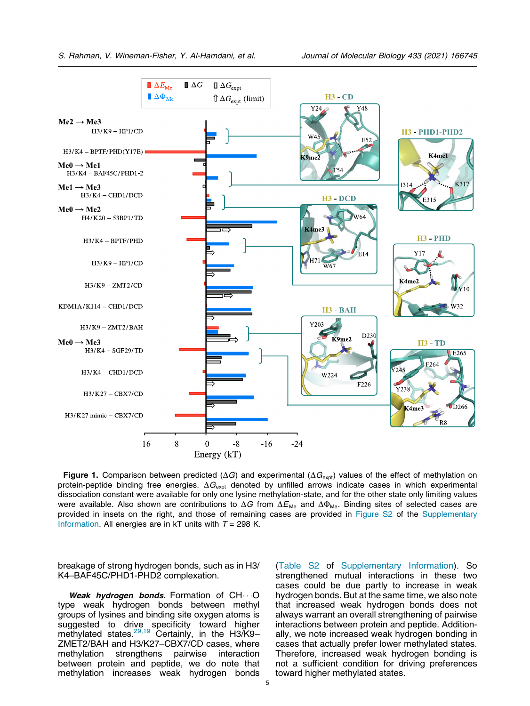<span id="page-4-0"></span>

Figure 1. Comparison between predicted ( $\Delta G$ ) and experimental ( $\Delta G_{\text{expt}}$ ) values of the effect of methylation on protein-peptide binding free energies.  $\Delta G_{\text{expt}}$  denoted by unfilled arrows indicate cases in which experimental dissociation constant were available for only one lysine methylation-state, and for the other state only limiting values were available. Also shown are contributions to  $\Delta G$  from  $\Delta E_{\text{Me}}$  and  $\Delta \Phi_{\text{Me}}$ . Binding sites of selected cases are provided in insets on the right, and those of remaining cases are provided in Figure S2 of the Supplementary Information. All energies are in kT units with  $T = 298$  K.

breakage of strong hydrogen bonds, such as in H3/ K4–BAF45C/PHD1-PHD2 complexation.

Weak hydrogen bonds. Formation of  $CH \cdot O$ type weak hydrogen bonds between methyl groups of lysines and binding site oxygen atoms is suggested to drive specificity toward higher methylated states.<sup>[29,19](#page-10-0)</sup> Certainly, in the H3/K9-ZMET2/BAH and H3/K27–CBX7/CD cases, where methylation strengthens pairwise interaction between protein and peptide, we do note that methylation increases weak hydrogen bonds

(Table S2 of Supplementary Information). So strengthened mutual interactions in these two cases could be due partly to increase in weak hydrogen bonds. But at the same time, we also note that increased weak hydrogen bonds does not always warrant an overall strengthening of pairwise interactions between protein and peptide. Additionally, we note increased weak hydrogen bonding in cases that actually prefer lower methylated states. Therefore, increased weak hydrogen bonding is not a sufficient condition for driving preferences toward higher methylated states.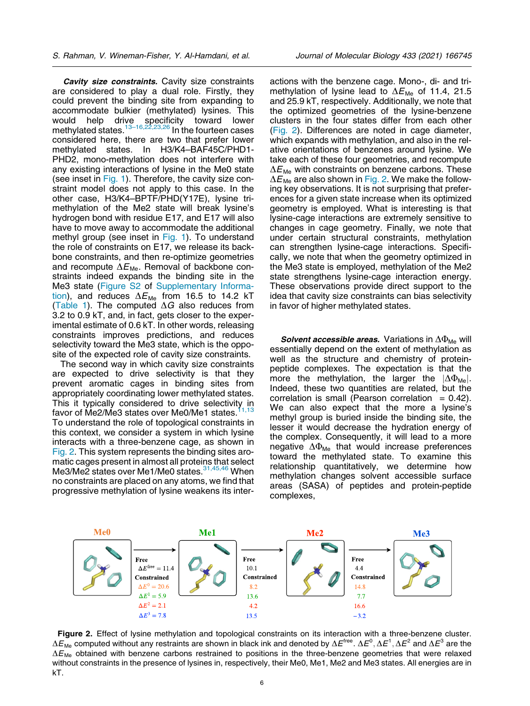Cavity size constraints. Cavity size constraints are considered to play a dual role. Firstly, they could prevent the binding site from expanding to accommodate bulkier (methylated) lysines. This would help drive specificity toward lower methylated states.<sup>13–16,22,23,26</sup> In the fourteen cases considered here, there are two that prefer lower methylated states. In H3/K4–BAF45C/PHD1- PHD2, mono-methylation does not interfere with any existing interactions of lysine in the Me0 state (see inset in [Fig. 1](#page-4-0)). Therefore, the cavity size constraint model does not apply to this case. In the other case, H3/K4–BPTF/PHD(Y17E), lysine trimethylation of the Me2 state will break lysine's hydrogen bond with residue E17, and E17 will also have to move away to accommodate the additional methyl group (see inset in [Fig. 1](#page-4-0)). To understand the role of constraints on E17, we release its backbone constraints, and then re-optimize geometries and recompute  $\Delta E_{\text{Me}}$ . Removal of backbone constraints indeed expands the binding site in the Me3 state (Figure S2 of Supplementary Information), and reduces  $\Delta E_{\text{Me}}$  from 16.5 to 14.2 kT [\(Table 1\)](#page-2-0). The computed  $\Delta G$  also reduces from 3.2 to 0.9 kT, and, in fact, gets closer to the experimental estimate of 0.6 kT. In other words, releasing constraints improves predictions, and reduces selectivity toward the Me3 state, which is the opposite of the expected role of cavity size constraints.

The second way in which cavity size constraints are expected to drive selectivity is that they prevent aromatic cages in binding sites from appropriately coordinating lower methylated states. This it typically considered to drive selectivity in favor of Me2/Me3 states over Me0/Me1 states. $11,13$ To understand the role of topological constraints in this context, we consider a system in which lysine interacts with a three-benzene cage, as shown in Fig. 2. This system represents the binding sites aromatic cages present in almost all proteins that select Me3/Me2 states over Me1/Me0 states.<sup>31,45,46</sup> When no constraints are placed on any atoms, we find that progressive methylation of lysine weakens its interactions with the benzene cage. Mono-, di- and trimethylation of lysine lead to  $\Delta E_{\text{Me}}$  of 11.4, 21.5 and 25.9 kT, respectively. Additionally, we note that the optimized geometries of the lysine-benzene clusters in the four states differ from each other (Fig. 2). Differences are noted in cage diameter, which expands with methylation, and also in the relative orientations of benzenes around lysine. We take each of these four geometries, and recompute  $\Delta E_{\text{Me}}$  with constraints on benzene carbons. These  $\Delta E_{\text{Me}}$  are also shown in Fig. 2. We make the following key observations. It is not surprising that preferences for a given state increase when its optimized geometry is employed. What is interesting is that lysine-cage interactions are extremely sensitive to changes in cage geometry. Finally, we note that under certain structural constraints, methylation can strengthen lysine-cage interactions. Specifically, we note that when the geometry optimized in the Me3 state is employed, methylation of the Me2 state strengthens lysine-cage interaction energy. These observations provide direct support to the idea that cavity size constraints can bias selectivity in favor of higher methylated states.

**Solvent accessible areas.** Variations in  $\Delta\Phi_{\text{Me}}$  will essentially depend on the extent of methylation as well as the structure and chemistry of proteinpeptide complexes. The expectation is that the more the methylation, the larger the  $|\Delta \Phi_{\text{Me}}|$ . Indeed, these two quantities are related, but the correlation is small (Pearson correlation  $= 0.42$ ). We can also expect that the more a lysine's methyl group is buried inside the binding site, the lesser it would decrease the hydration energy of the complex. Consequently, it will lead to a more negative  $\Delta\Phi_{\text{Me}}$  that would increase preferences toward the methylated state. To examine this relationship quantitatively, we determine how methylation changes solvent accessible surface areas (SASA) of peptides and protein-peptide complexes,



Figure 2. Effect of lysine methylation and topological constraints on its interaction with a three-benzene cluster.  $\Delta E_{\rm Me}$  computed without any restraints are shown in black ink and denoted by  $\Delta E^{\rm free}$ .  $\Delta E^0, \Delta E^1, \Delta E^2$  and  $\Delta E^3$  are the  $\Delta E_{\text{Me}}$  obtained with benzene carbons restrained to positions in the three-benzene geometries that were relaxed without constraints in the presence of lysines in, respectively, their Me0, Me1, Me2 and Me3 states. All energies are in kT.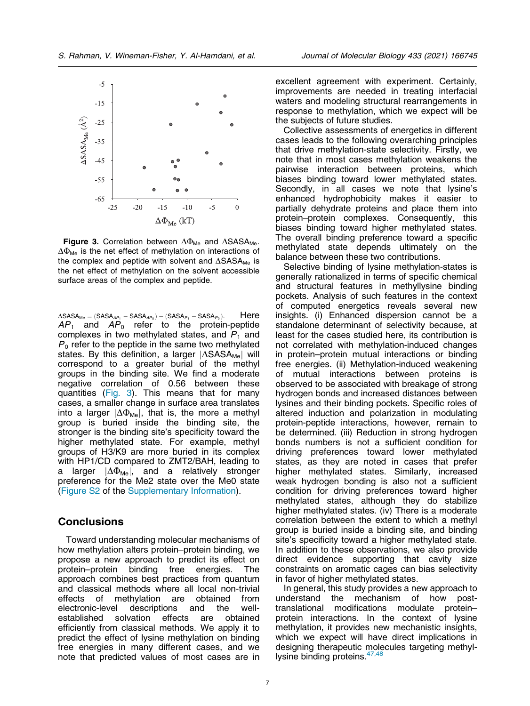

Figure 3. Correlation between  $\Delta\Phi_{\text{Me}}$  and  $\Delta$ SASA<sub>Me</sub>.  $\Delta\Phi_{\text{Me}}$  is the net effect of methylation on interactions of the complex and peptide with solvent and  $\Delta$ SASA<sub>Me</sub> is the net effect of methylation on the solvent accessible surface areas of the complex and peptide.

 $\Delta$ SASA<sub>Me</sub> = (SASA<sub>AP<sub>1</sub></sub> - SASA<sub>AP<sub>0</sub></sub>) – (SASA<sub>P<sub>1</sub></sub> - SASA<sub>P<sub>0</sub>). Here</sub>  $AP_1$  and  $AP_0$  refer to the protein-peptide complexes in two methylated states, and  $P_1$  and  $P_0$  refer to the peptide in the same two methylated states. By this definition, a larger  $|\Delta$ SASA<sub>Me</sub> will correspond to a greater burial of the methyl groups in the binding site. We find a moderate negative correlation of 0.56 between these quantities (Fig. 3). This means that for many cases, a smaller change in surface area translates into a larger  $|\Delta \Phi_{Me}|$ , that is, the more a methyl group is buried inside the binding site, the stronger is the binding site's specificity toward the higher methylated state. For example, methyl groups of H3/K9 are more buried in its complex with HP1/CD compared to ZMT2/BAH, leading to a larger  $|\Delta \Phi_{\text{Me}}|$ , and a relatively stronger preference for the Me2 state over the Me0 state (Figure S2 of the Supplementary Information).

## **Conclusions**

Toward understanding molecular mechanisms of how methylation alters protein–protein binding, we propose a new approach to predict its effect on<br>protein–protein binding free energies. The binding free energies. The approach combines best practices from quantum and classical methods where all local non-trivial effects of methylation are obtained from electronic-level descriptions and the wellestablished solvation effects are obtained efficiently from classical methods. We apply it to predict the effect of lysine methylation on binding free energies in many different cases, and we note that predicted values of most cases are in excellent agreement with experiment. Certainly, improvements are needed in treating interfacial waters and modeling structural rearrangements in response to methylation, which we expect will be the subjects of future studies.

Collective assessments of energetics in different cases leads to the following overarching principles that drive methylation-state selectivity. Firstly, we note that in most cases methylation weakens the pairwise interaction between proteins, which biases binding toward lower methylated states. Secondly, in all cases we note that lysine's enhanced hydrophobicity makes it easier to partially dehydrate proteins and place them into protein–protein complexes. Consequently, this biases binding toward higher methylated states. The overall binding preference toward a specific methylated state depends ultimately on the balance between these two contributions.

Selective binding of lysine methylation-states is generally rationalized in terms of specific chemical and structural features in methyllysine binding pockets. Analysis of such features in the context of computed energetics reveals several new insights. (i) Enhanced dispersion cannot be a standalone determinant of selectivity because, at least for the cases studied here, its contribution is not correlated with methylation-induced changes in protein–protein mutual interactions or binding free energies. (ii) Methylation-induced weakening of mutual interactions between proteins is observed to be associated with breakage of strong hydrogen bonds and increased distances between lysines and their binding pockets. Specific roles of altered induction and polarization in modulating protein-peptide interactions, however, remain to be determined. (iii) Reduction in strong hydrogen bonds numbers is not a sufficient condition for driving preferences toward lower methylated states, as they are noted in cases that prefer higher methylated states. Similarly, increased weak hydrogen bonding is also not a sufficient condition for driving preferences toward higher methylated states, although they do stabilize higher methylated states. (iv) There is a moderate correlation between the extent to which a methyl group is buried inside a binding site, and binding site's specificity toward a higher methylated state. In addition to these observations, we also provide direct evidence supporting that cavity size constraints on aromatic cages can bias selectivity in favor of higher methylated states.

In general, this study provides a new approach to understand the mechanism of how posttranslational modifications modulate protein– protein interactions. In the context of lysine methylation, it provides new mechanistic insights, which we expect will have direct implications in designing therapeutic molecules targeting methyllysine binding proteins.  $47,48$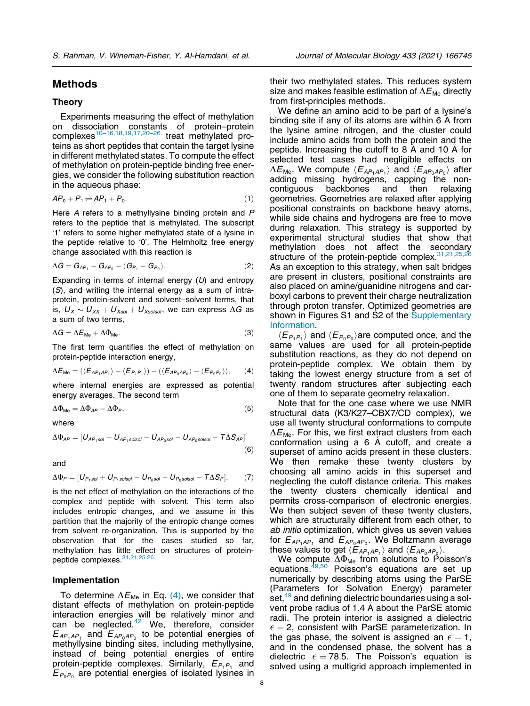## <span id="page-7-0"></span>Methods

#### Theory

Experiments measuring the effect of methylation on dissociation constants of protein–protein complexes<sup>10–16,18,19,17,20–26</sup> treat methylated proteins as short peptides that contain the target lysine in different methylated states. To compute the effect of methylation on protein-peptide binding free energies, we consider the following substitution reaction in the aqueous phase:

$$
AP_0 + P_1 \rightleftharpoons AP_1 + P_0. \tag{1}
$$

Here A refers to a methyllysine binding protein and P refers to the peptide that is methylated. The subscript '1' refers to some higher methylated state of a lysine in the peptide relative to '0'. The Helmholtz free energy change associated with this reaction is

$$
\Delta G = G_{AP_1} - G_{AP_0} - (G_{P_1} - G_{P_0}).
$$
\n(2)

Expanding in terms of internal energy  $(U)$  and entropy (S), and writing the internal energy as a sum of intraprotein, protein-solvent and solvent–solvent terms, that is,  $U_X \sim U_{XX} + U_{Xsol} + U_{Xsolsol}$ , we can express  $\Delta G$  as a sum of two terms,

$$
\Delta G = \Delta E_{\text{Me}} + \Delta \Phi_{\text{Me}}.\tag{3}
$$

The first term quantifies the effect of methylation on protein-peptide interaction energy,

$$
\Delta E_{\text{Me}} = (\langle E_{AP_1AP_1} \rangle - \langle E_{P_1P_1} \rangle) - (\langle E_{AP_0AP_0} \rangle - \langle E_{P_0P_0} \rangle), \qquad (4)
$$

where internal energies are expressed as potential energy averages. The second term

$$
\Delta \Phi_{\text{Me}} = \Delta \Phi_{\text{AP}} - \Delta \Phi_{\text{P}},\tag{5}
$$

where

$$
\Delta\Phi_{AP} = [U_{AP_1sol} + U_{AP_1solsol} - U_{AP_0sol} - U_{AP_0solsol} - T\Delta S_{AP}] \tag{6}
$$

and

$$
\Delta \Phi_P = [U_{P_1sol} + U_{P_1solsol} - U_{P_0sol} - U_{P_0solsol} - T\Delta S_P],
$$
 (7)

is the net effect of methylation on the interactions of the complex and peptide with solvent. This term also includes entropic changes, and we assume in this partition that the majority of the entropic change comes from solvent re-organization. This is supported by the observation that for the cases studied so far, methylation has little effect on structures of protein-peptide complexes<sup>[31,21,25,26](#page-10-0)</sup>

#### Implementation

To determine  $\Delta E_{\text{Me}}$  in Eq. (4), we consider that distant effects of methylation on protein-peptide interaction energies will be relatively minor and can be neglected. $42$  We, therefore, consider  $E_{AP_1AP_1}$  and  $E_{AP_0AP_0}$  to be potential energies of methyllysine binding sites, including methyllysine, instead of being potential energies of entire protein-peptide complexes. Similarly,  $E_{P_1P_1}$  and  $E_{P_0P_0}$  are potential energies of isolated lysines in their two methylated states. This reduces system size and makes feasible estimation of  $\Delta E_{\text{Me}}$  directly from first-principles methods.

We define an amino acid to be part of a lysine's binding site if any of its atoms are within 6 A from the lysine amine nitrogen, and the cluster could include amino acids from both the protein and the peptide. Increasing the cutoff to 8 A and 10 A for selected test cases had negligible effects on  $\Delta E_{\text{Me}}$ . We compute  $\langle E_{AP_1AP_1} \rangle$  and  $\langle E_{AP_0AP_0} \rangle$  after adding missing hydrogens, capping the non-<br>contiguous backbones and then relaxing contiguous backbones and then relaxing geometries. Geometries are relaxed after applying positional constraints on backbone heavy atoms, while side chains and hydrogens are free to move during relaxation. This strategy is supported by experimental structural studies that show that methylation does not affect the secondary structure of the protein-peptide complex.  $31,21,25$ As an exception to this strategy, when salt bridges are present in clusters, positional constraints are also placed on amine/guanidine nitrogens and carboxyl carbons to prevent their charge neutralization through proton transfer. Optimized geometries are shown in Figures S1 and S2 of the Supplementary Information.

 $\langle E_{P_1P_1} \rangle$  and  $\langle E_{P_0P_0} \rangle$  are computed once, and the same values are used for all protein-peptide substitution reactions, as they do not depend on protein-peptide complex. We obtain them by taking the lowest energy structure from a set of twenty random structures after subjecting each one of them to separate geometry relaxation.

Note that for the one case where we use NMR structural data (K3/K27–CBX7/CD complex), we use all twenty structural conformations to compute  $\Delta E_{\text{Me}}$ . For this, we first extract clusters from each conformation using a 6 A cutoff, and create a superset of amino acids present in these clusters. We then remake these twenty clusters by choosing all amino acids in this superset and neglecting the cutoff distance criteria. This makes the twenty clusters chemically identical and permits cross-comparison of electronic energies. We then subject seven of these twenty clusters, which are structurally different from each other, to ab initio optimization, which gives us seven values for  $E_{AP_1AP_1}$  and  $E_{AP_0AP_0}$ . We Boltzmann average these values to get  $\langle E_{AP_1AP_1} \rangle$  and  $\langle E_{AP_0AP_0} \rangle$ .

We compute  $\Delta\Phi_{\text{Me}}$  from solutions to Poisson's equations.<sup>[49,50](#page-10-0)</sup> Poisson's equations are set up numerically by describing atoms using the ParSE (Parameters for Solvation Energy) parameter set,<sup>[49](#page-10-0)</sup> and defining dielectric boundaries using a solvent probe radius of 1.4 A about the ParSE atomic radii. The protein interior is assigned a dielectric  $\epsilon = 2$ , consistent with ParSE parameterization. In the gas phase, the solvent is assigned an  $\epsilon = 1$ , and in the condensed phase, the solvent has a dielectric  $\epsilon = 78.5$ . The Poisson's equation is solved using a multigrid approach implemented in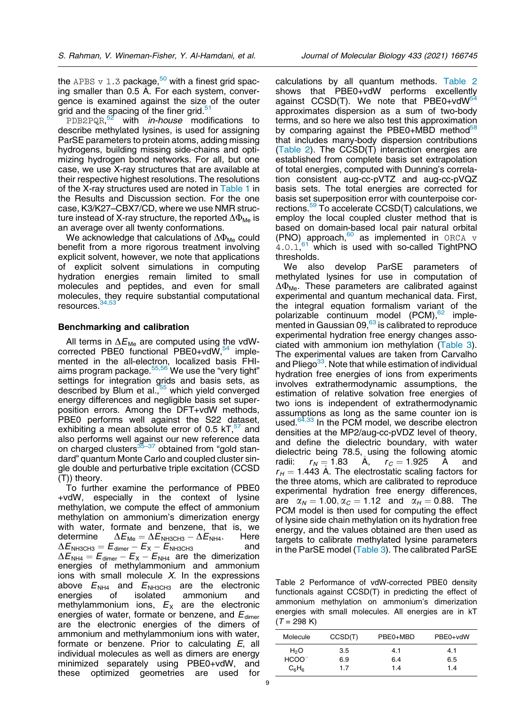the APBS  $v$  1.3 package,<sup>50</sup> with a finest grid spacing smaller than 0.5 A. For each system, convergence is examined against the size of the outer grid and the spacing of the finer grid.<sup>[51](#page-10-0)</sup>

PDB2PQR,<sup>[52](#page-10-0)</sup> with *in-house* modifications to describe methylated lysines, is used for assigning ParSE parameters to protein atoms, adding missing hydrogens, building missing side-chains and optimizing hydrogen bond networks. For all, but one case, we use X-ray structures that are available at their respective highest resolutions. The resolutions of the X-ray structures used are noted in [Table 1](#page-2-0) in the Results and Discussion section. For the one case, K3/K27–CBX7/CD, where we use NMR structure instead of X-ray structure, the reported  $\Delta\Phi_{\text{Me}}$  is an average over all twenty conformations.

We acknowledge that calculations of  $\Delta\Phi_{\text{Me}}$  could benefit from a more rigorous treatment involving explicit solvent, however, we note that applications of explicit solvent simulations in computing hydration energies remain limited to small molecules and peptides, and even for small molecules, they require substantial computational resources.<sup>34,53</sup>

#### Benchmarking and calibration

All terms in  $\Delta E_{\text{Me}}$  are computed using the vdWcorrected PBE0 functional PBE0+vd $\tilde{W}$ ,  $54$  implemented in the all-electron, localized basis FHIaims program package. $55,56$  We use the "very tight" settings for integration grids and basis sets, as described by Blum et al.,<sup>55</sup> which yield converged energy differences and negligible basis set superposition errors. Among the DFT+vdW methods, PBE0 performs well against the S22 dataset, exhibiting a mean absolute error of 0.5  $kT$ ,  $57$  and also performs well against our new reference data on charged clusters $35-37$  obtained from "gold standard" quantum Monte Carlo and coupled cluster single double and perturbative triple excitation (CCSD (T)) theory.

To further examine the performance of PBE0 +vdW, especially in the context of lysine methylation, we compute the effect of ammonium methylation on ammonium's dimerization energy with water, formate and benzene, that is, we determine  $\Delta E_{\text{\tiny Me}} = \Delta E_{\text{\tiny NH3CH3}} - \Delta E_{\text{\tiny NH4}}.$  Here  $\Delta E_{\text{NH3CH3}} = E_{\text{dimer}} - E_{\text{X}} - E_{\text{NH3CH3}}$  and  $\Delta E_{\text{NH4}} = E_{\text{dimer}} - E_{\text{X}} - E_{\text{NH4}}$  are the dimerization energies of methylammonium and ammonium ions with small molecule  $X$ . In the expressions above  $E_{\text{NH4}}$  and  $E_{\text{NH3CH3}}$  are the electronic<br>energies of isolated ammonium and energies of isolated ammonium and methylammonium ions,  $E_X$  are the electronic energies of water, formate or benzene, and  $E_{\text{dimer}}$ are the electronic energies of the dimers of ammonium and methylammonium ions with water, formate or benzene. Prior to calculating E, all individual molecules as well as dimers are energy minimized separately using PBE0+vdW, and these optimized geometries are used for

calculations by all quantum methods. Table 2 shows that PBE0+vdW performs excellently against CCSD(T). We note that  $PBE0+vdW^{54}$ approximates dispersion as a sum of two-body terms, and so here we also test this approximation by comparing against the PBE0+MBD method $58$ that includes many-body dispersion contributions (Table 2). The CCSD(T) interaction energies are established from complete basis set extrapolation of total energies, computed with Dunning's correlation consistent aug-cc-pVTZ and aug-cc-pVQZ basis sets. The total energies are corrected for basis set superposition error with counterpoise corrections.[59](#page-11-0) To accelerate CCSD(T) calculations, we employ the local coupled cluster method that is based on domain-based local pair natural orbital (PNO) approach, $60$  as implemented in ORCA  $\nu$  $4.0.1$ <sup>[61](#page-11-0)</sup> which is used with so-called TightPNO thresholds.

We also develop ParSE parameters of methylated lysines for use in computation of  $\Delta\Phi_{\text{Me}}$ . These parameters are calibrated against experimental and quantum mechanical data. First, the integral equation formalism variant of the polarizable continuum model (PCM),<sup>[62](#page-11-0)</sup> imple-mented in Gaussian 09,<sup>[63](#page-11-0)</sup> is calibrated to reproduce experimental hydration free energy changes associated with ammonium ion methylation ([Table 3](#page-9-0)). The experimental values are taken from Carvalho and Pliego<sup>33</sup>. Note that while estimation of individual hydration free energies of ions from experiments involves extrathermodynamic assumptions, the estimation of relative solvation free energies of two ions is independent of extrathermodynamic assumptions as long as the same counter ion is used. $64,33$  In the PCM model, we describe electron densities at the MP2/aug-cc-pVDZ level of theory, and define the dielectric boundary, with water dielectric being 78.5, using the following atomic radii:  $r_N = 1.83$  A,  $r_C = 1.925$  A and  $r_H = 1.443$  A. The electrostatic scaling factors for the three atoms, which are calibrated to reproduce experimental hydration free energy differences, are  $\alpha_N = 1.00, \alpha_C = 1.12$  and  $\alpha_H = 0.88$ . The PCM model is then used for computing the effect of lysine side chain methylation on its hydration free energy, and the values obtained are then used as targets to calibrate methylated lysine parameters in the ParSE model [\(Table 3](#page-9-0)). The calibrated ParSE

Table 2 Performance of vdW-corrected PBE0 density functionals against CCSD(T) in predicting the effect of ammonium methylation on ammonium's dimerization energies with small molecules. All energies are in kT  $(T = 298 K)$ 

| Molecule         | CCSD(T) | PBE0+MBD | PBE0+vdW |
|------------------|---------|----------|----------|
| H <sub>2</sub> O | 3.5     | 4.1      | 4.1      |
| $HCOO^{-}$       | 6.9     | 6.4      | 6.5      |
| $C_6H_6$         | 1.7     | 14       | 1.4      |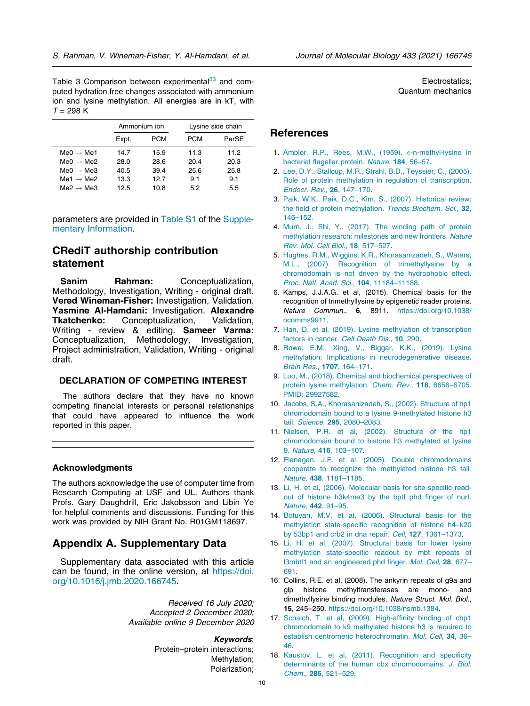<span id="page-9-0"></span>Table 3 Comparison between experimental<sup>[33](#page-10-0)</sup> and computed hydration free changes associated with ammonium ion and lysine methylation. All energies are in kT, with  $T = 298 K$ 

|                       |       | Ammonium ion |      | Lysine side chain |  |  |
|-----------------------|-------|--------------|------|-------------------|--|--|
|                       | Expt. | <b>PCM</b>   | PCM  | ParSE             |  |  |
| $Me0 \rightarrow Me1$ | 14.7  | 15.9         | 11.3 | 11.2              |  |  |
| $Me0 \rightarrow Me2$ | 28.0  | 28.6         | 20.4 | 20.3              |  |  |
| $Me0 \rightarrow Me3$ | 40.5  | 39.4         | 25.6 | 25.8              |  |  |
| $Me1 \rightarrow Me2$ | 13.3  | 12.7         | 9.1  | 9.1               |  |  |
| $Me2 \rightarrow Me3$ | 12.5  | 10.8         | 5.2  | 5.5               |  |  |

parameters are provided in Table S1 of the Supplementary Information.

# CRediT authorship contribution statement

Sanim Rahman: Conceptualization, Methodology, Investigation, Writing - original draft. Vered Wineman-Fisher: Investigation, Validation. Yasmine Al-Hamdani: Investigation. Alexandre<br>Tkatchenko: Conceptualization. Validation. Conceptualization, Writing - review & editing. Sameer Varma: Conceptualization, Methodology, Investigation, Project administration, Validation, Writing - original draft.

## DECLARATION OF COMPETING INTEREST

The authors declare that they have no known competing financial interests or personal relationships that could have appeared to influence the work reported in this paper.

#### Acknowledgments

The authors acknowledge the use of computer time from Research Computing at USF and UL. Authors thank Profs. Gary Daughdrill, Eric Jakobsson and Libin Ye for helpful comments and discussions. Funding for this work was provided by NIH Grant No. R01GM118697.

## Appendix A. Supplementary Data

Supplementary data associated with this article can be found, in the online version, at [https://doi.](https://doi.org/10.1016/j.jmb.2020.166745) [org/10.1016/j.jmb.2020.166745](https://doi.org/10.1016/j.jmb.2020.166745).

> Received 16 July 2020; Accepted 2 December 2020; Available online 9 December 2020

> > Keywords: Protein–protein interactions; Methylation; Polarization;

Electrostatics; Quantum mechanics

## **References**

- 1. [Ambler, R.P., Rees, M.W., \(1959\).](http://refhub.elsevier.com/S0022-2836(20)30670-7/h0005)  $\epsilon$ [-n-methyl-lysine in](http://refhub.elsevier.com/S0022-2836(20)30670-7/h0005) [bacterial flagellar protein](http://refhub.elsevier.com/S0022-2836(20)30670-7/h0005). Nature, 184, 56–57.
- 2. [Lee, D.Y., Stallcup, M.R., Strahl, B.D., Teyssier, C., \(2005\).](http://refhub.elsevier.com/S0022-2836(20)30670-7/h0010) [Role of protein methylation in regulation of transcription](http://refhub.elsevier.com/S0022-2836(20)30670-7/h0010). [Endocr. Rev.](http://refhub.elsevier.com/S0022-2836(20)30670-7/h0010), 26, 147–170.
- 3. [Paik, W.K., Paik, D.C., Kim, S., \(2007\). Historical review:](http://refhub.elsevier.com/S0022-2836(20)30670-7/h0015) [the field of protein methylation](http://refhub.elsevier.com/S0022-2836(20)30670-7/h0015). Trends Biochem. Sci., 32, [146–152.](http://refhub.elsevier.com/S0022-2836(20)30670-7/h0015)
- 4. [Murn, J., Shi, Y., \(2017\). The winding path of protein](http://refhub.elsevier.com/S0022-2836(20)30670-7/h0020) [methylation research: milestones and new frontiers](http://refhub.elsevier.com/S0022-2836(20)30670-7/h0020). Nature [Rev. Mol. Cell Biol.](http://refhub.elsevier.com/S0022-2836(20)30670-7/h0020), 18, 517–527.
- 5. [Hughes, R.M., Wiggins, K.R., Khorasanizadeh, S., Waters,](http://refhub.elsevier.com/S0022-2836(20)30670-7/h0025) [M.L., \(2007\). Recognition of trimethyllysine by a](http://refhub.elsevier.com/S0022-2836(20)30670-7/h0025) [chromodomain is not driven by the hydrophobic effect](http://refhub.elsevier.com/S0022-2836(20)30670-7/h0025). [Proc. Natl. Acad. Sci.](http://refhub.elsevier.com/S0022-2836(20)30670-7/h0025), 104, 11184–11188.
- 6. Kamps, J.J.A.G. et al, (2015). Chemical basis for the recognition of trimethyllysine by epigenetic reader proteins. Nature Commun., 6, 8911. [https://doi.org/10.1038/](https://doi.org/10.1038/ncomms9911) [ncomms9911](https://doi.org/10.1038/ncomms9911).
- 7. [Han, D. et al, \(2019\). Lysine methylation of transcription](http://refhub.elsevier.com/S0022-2836(20)30670-7/h0035) [factors in cancer](http://refhub.elsevier.com/S0022-2836(20)30670-7/h0035). Cell Death Dis., 10, 290.
- 8. [Rowe, E.M., Xing, V., Biggar, K.K., \(2019\). Lysine](http://refhub.elsevier.com/S0022-2836(20)30670-7/h0040) [methylation: Implications in neurodegenerative disease](http://refhub.elsevier.com/S0022-2836(20)30670-7/h0040). [Brain Res.](http://refhub.elsevier.com/S0022-2836(20)30670-7/h0040), 1707, 164–171.
- 9. [Luo, M., \(2018\). Chemical and biochemical perspectives of](http://refhub.elsevier.com/S0022-2836(20)30670-7/h0045) [protein lysine methylation](http://refhub.elsevier.com/S0022-2836(20)30670-7/h0045). Chem. Rev., 118, 6656–6705. [PMID: 29927582.](http://refhub.elsevier.com/S0022-2836(20)30670-7/h0045)
- 10. [Jacobs, S.A., Khorasanizadeh, S., \(2002\). Structure of hp1](http://refhub.elsevier.com/S0022-2836(20)30670-7/h0050) [chromodomain bound to a lysine 9-methylated histone h3](http://refhub.elsevier.com/S0022-2836(20)30670-7/h0050) tail. Science, 295[, 2080–2083](http://refhub.elsevier.com/S0022-2836(20)30670-7/h0050).
- 11. [Nielsen, P.R. et al, \(2002\). Structure of the hp1](http://refhub.elsevier.com/S0022-2836(20)30670-7/h0055) [chromodomain bound to histone h3 methylated at lysine](http://refhub.elsevier.com/S0022-2836(20)30670-7/h0055) 9. Nature, 416[, 103–107.](http://refhub.elsevier.com/S0022-2836(20)30670-7/h0055)
- 12. [Flanagan, J.F. et al, \(2005\). Double chromodomains](http://refhub.elsevier.com/S0022-2836(20)30670-7/h0060) [cooperate to recognize the methylated histone h3 tail](http://refhub.elsevier.com/S0022-2836(20)30670-7/h0060). Nature, 438[, 1181–1185](http://refhub.elsevier.com/S0022-2836(20)30670-7/h0060).
- 13. [Li, H. et al, \(2006\). Molecular basis for site-specific read](http://refhub.elsevier.com/S0022-2836(20)30670-7/h0065)[out of histone h3k4me3 by the bptf phd finger of nurf](http://refhub.elsevier.com/S0022-2836(20)30670-7/h0065). Nature, 442[, 91–95](http://refhub.elsevier.com/S0022-2836(20)30670-7/h0065).
- 14. [Botuyan, M.V. et al, \(2006\). Structural basis for the](http://refhub.elsevier.com/S0022-2836(20)30670-7/h0070) [methylation state-specific recognition of histone h4–k20](http://refhub.elsevier.com/S0022-2836(20)30670-7/h0070) [by 53bp1 and crb2 in dna repair](http://refhub.elsevier.com/S0022-2836(20)30670-7/h0070). Cell, 127, 1361–1373.
- 15. [Li, H. et al, \(2007\). Structural basis for lower lysine](http://refhub.elsevier.com/S0022-2836(20)30670-7/h0075) [methylation state-specific readout by mbt repeats of](http://refhub.elsevier.com/S0022-2836(20)30670-7/h0075) [l3mbtl1 and an engineered phd finger](http://refhub.elsevier.com/S0022-2836(20)30670-7/h0075). Mol. Cell, 28, 677– [691](http://refhub.elsevier.com/S0022-2836(20)30670-7/h0075).
- 16. Collins, R.E. et al, (2008). The ankyrin repeats of g9a and glp histone methyltransferases are mono- and dimethyllysine binding modules. Nature Struct. Mol. Biol., 15, 245–250. <https://doi.org/10.1038/nsmb.1384>.
- 17. [Schalch, T. et al, \(2009\). High-affinity binding of chp1](http://refhub.elsevier.com/S0022-2836(20)30670-7/h0085) [chromodomain to k9 methylated histone h3 is required to](http://refhub.elsevier.com/S0022-2836(20)30670-7/h0085) [establish centromeric heterochromatin](http://refhub.elsevier.com/S0022-2836(20)30670-7/h0085). Mol. Cell, 34, 36– [46.](http://refhub.elsevier.com/S0022-2836(20)30670-7/h0085)
- 18. [Kaustov, L. et al, \(2011\). Recognition and specificity](http://refhub.elsevier.com/S0022-2836(20)30670-7/h0090) [determinants of the human cbx chromodomains](http://refhub.elsevier.com/S0022-2836(20)30670-7/h0090). J. Biol. Chem., 286[, 521–529.](http://refhub.elsevier.com/S0022-2836(20)30670-7/h0090)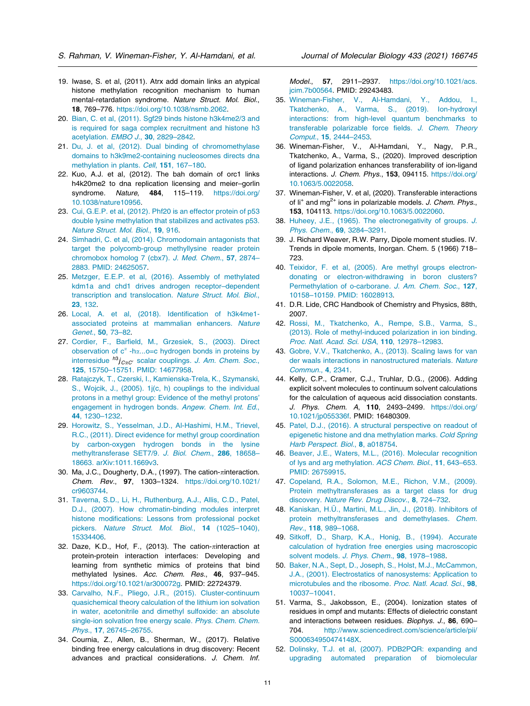- <span id="page-10-0"></span>19. Iwase, S. et al, (2011). Atrx add domain links an atypical histone methylation recognition mechanism to human mental-retardation syndrome. Nature Struct. Mol. Biol., 18, 769–776. [https://doi.org/10.1038/nsmb.2062.](https://doi.org/10.1038/nsmb.2062)
- 20. [Bian, C. et al, \(2011\). Sgf29 binds histone h3k4me2/3 and](http://refhub.elsevier.com/S0022-2836(20)30670-7/h0100) [is required for saga complex recruitment and histone h3](http://refhub.elsevier.com/S0022-2836(20)30670-7/h0100) acetylation. EMBO J., 30[, 2829–2842](http://refhub.elsevier.com/S0022-2836(20)30670-7/h0100).
- 21. [Du, J. et al, \(2012\). Dual binding of chromomethylase](http://refhub.elsevier.com/S0022-2836(20)30670-7/h0105) [domains to h3k9me2-containing nucleosomes directs dna](http://refhub.elsevier.com/S0022-2836(20)30670-7/h0105) [methylation in plants](http://refhub.elsevier.com/S0022-2836(20)30670-7/h0105). Cell. 151, 167-180.
- 22. Kuo, A.J. et al, (2012). The bah domain of orc1 links h4k20me2 to dna replication licensing and meier–gorlin syndrome. Nature, 484, 115-119. [https://doi.org/](https://doi.org/10.1038/nature10956) [10.1038/nature10956.](https://doi.org/10.1038/nature10956)
- 23. [Cui, G.E.P. et al, \(2012\). Phf20 is an effector protein of p53](http://refhub.elsevier.com/S0022-2836(20)30670-7/h0115) [double lysine methylation that stabilizes and activates p53](http://refhub.elsevier.com/S0022-2836(20)30670-7/h0115). [Nature Struct. Mol. Biol.](http://refhub.elsevier.com/S0022-2836(20)30670-7/h0115), 19, 916.
- 24. [Simhadri, C. et al, \(2014\). Chromodomain antagonists that](http://refhub.elsevier.com/S0022-2836(20)30670-7/h0120) [target the polycomb-group methyllysine reader protein](http://refhub.elsevier.com/S0022-2836(20)30670-7/h0120) [chromobox homolog 7 \(cbx7\)](http://refhub.elsevier.com/S0022-2836(20)30670-7/h0120). J. Med. Chem., 57, 2874– [2883. PMID: 24625057](http://refhub.elsevier.com/S0022-2836(20)30670-7/h0120).
- 25. [Metzger, E.E.P. et al, \(2016\). Assembly of methylated](http://refhub.elsevier.com/S0022-2836(20)30670-7/h0125) [kdm1a and chd1 drives androgen receptor–dependent](http://refhub.elsevier.com/S0022-2836(20)30670-7/h0125) [transcription and translocation](http://refhub.elsevier.com/S0022-2836(20)30670-7/h0125). Nature Struct. Mol. Biol., 23[, 132](http://refhub.elsevier.com/S0022-2836(20)30670-7/h0125).
- 26. [Local, A. et al, \(2018\). Identification of h3k4me1](http://refhub.elsevier.com/S0022-2836(20)30670-7/h0130) [associated proteins at mammalian enhancers](http://refhub.elsevier.com/S0022-2836(20)30670-7/h0130). Nature Genet., 50[, 73–82.](http://refhub.elsevier.com/S0022-2836(20)30670-7/h0130)
- 27. [Cordier, F., Barfield, M., Grzesiek, S., \(2003\). Direct](http://refhub.elsevier.com/S0022-2836(20)30670-7/h0135) [observation](http://refhub.elsevier.com/S0022-2836(20)30670-7/h0135) [of](http://refhub.elsevier.com/S0022-2836(20)30670-7/h0135)  $c^{\alpha}$  $c^{\alpha}$  -h $\alpha$ [...o=c hydrogen bonds in proteins by](http://refhub.elsevier.com/S0022-2836(20)30670-7/h0135) [interresidue](http://refhub.elsevier.com/S0022-2836(20)30670-7/h0135)  $h^3j_{C\alpha C}$  scalar couplings[. J. Am. Chem. Soc.](http://refhub.elsevier.com/S0022-2836(20)30670-7/h0135), 125[, 15750–15751. PMID: 14677958](http://refhub.elsevier.com/S0022-2836(20)30670-7/h0135).
- 28. [Ratajczyk, T., Czerski, I., Kamienska-Trela, K., Szymanski,](http://refhub.elsevier.com/S0022-2836(20)30670-7/h0140) [S., Wojcik, J., \(2005\). 1j\(c, h\) couplings to the individual](http://refhub.elsevier.com/S0022-2836(20)30670-7/h0140) [protons in a methyl group: Evidence of the methyl protons](http://refhub.elsevier.com/S0022-2836(20)30670-7/h0140)' [engagement in hydrogen bonds](http://refhub.elsevier.com/S0022-2836(20)30670-7/h0140). Angew. Chem. Int. Ed., 44[, 1230–1232](http://refhub.elsevier.com/S0022-2836(20)30670-7/h0140).
- 29. [Horowitz, S., Yesselman, J.D., Al-Hashimi, H.M., Trievel,](http://refhub.elsevier.com/S0022-2836(20)30670-7/h0145) [R.C., \(2011\). Direct evidence for methyl group coordination](http://refhub.elsevier.com/S0022-2836(20)30670-7/h0145) [by carbon-oxygen hydrogen bonds in the lysine](http://refhub.elsevier.com/S0022-2836(20)30670-7/h0145) [methyltransferase SET7/9](http://refhub.elsevier.com/S0022-2836(20)30670-7/h0145). J. Biol. Chem., 286, 18658– [18663. arXiv:1011.1669v3](http://refhub.elsevier.com/S0022-2836(20)30670-7/h0145).
- 30. Ma, J.C., Dougherty, D.A., (1997). The cation- $\pi$ interaction. Chem. Rev., 97, 1303–1324. [https://doi.org/10.1021/](https://doi.org/10.1021/cr9603744) [cr9603744](https://doi.org/10.1021/cr9603744).
- 31. [Taverna, S.D., Li, H., Ruthenburg, A.J., Allis, C.D., Patel,](http://refhub.elsevier.com/S0022-2836(20)30670-7/h0155) [D.J., \(2007\). How chromatin-binding modules interpret](http://refhub.elsevier.com/S0022-2836(20)30670-7/h0155) [histone modifications: Lessons from professional pocket](http://refhub.elsevier.com/S0022-2836(20)30670-7/h0155) pickers[. Nature Struct. Mol. Biol.](http://refhub.elsevier.com/S0022-2836(20)30670-7/h0155), 14 (1025-1040), [15334406.](http://refhub.elsevier.com/S0022-2836(20)30670-7/h0155)
- 32. Daze, K.D., Hof, F., (2013). The cation- $\pi$ interaction at protein-protein interaction interfaces: Developing and learning from synthetic mimics of proteins that bind methylated lysines. Acc. Chem. Res., 46, 937–945. [https://doi.org/10.1021/ar300072g.](https://doi.org/10.1021/ar300072g) PMID: 22724379.
- 33. [Carvalho, N.F., Pliego, J.R., \(2015\). Cluster-continuum](http://refhub.elsevier.com/S0022-2836(20)30670-7/h0165) [quasichemical theory calculation of the lithium ion solvation](http://refhub.elsevier.com/S0022-2836(20)30670-7/h0165) [in water, acetonitrile and dimethyl sulfoxide: an absolute](http://refhub.elsevier.com/S0022-2836(20)30670-7/h0165) [single-ion solvation free energy scale](http://refhub.elsevier.com/S0022-2836(20)30670-7/h0165). Phys. Chem. Chem. Phys., 17[, 26745–26755.](http://refhub.elsevier.com/S0022-2836(20)30670-7/h0165)
- 34. Cournia, Z., Allen, B., Sherman, W., (2017). Relative binding free energy calculations in drug discovery: Recent advances and practical considerations. J. Chem. Inf.

Model., 57, 2911–2937. [https://doi.org/10.1021/acs.](https://doi.org/10.1021/acs.jcim.7b00564) [jcim.7b00564.](https://doi.org/10.1021/acs.jcim.7b00564) PMID: 29243483.

- 35. [Wineman-Fisher, V., Al-Hamdani, Y., Addou, I.,](http://refhub.elsevier.com/S0022-2836(20)30670-7/h0175) [Tkatchenko, A., Varma, S., \(2019\). Ion-hydroxyl](http://refhub.elsevier.com/S0022-2836(20)30670-7/h0175) [interactions: from high-level quantum benchmarks to](http://refhub.elsevier.com/S0022-2836(20)30670-7/h0175) [transferable polarizable force fields](http://refhub.elsevier.com/S0022-2836(20)30670-7/h0175). J. Chem. Theory Comput., 15[, 2444–2453.](http://refhub.elsevier.com/S0022-2836(20)30670-7/h0175)
- 36. Wineman-Fisher, V., Al-Hamdani, Y., Nagy, P.R., Tkatchenko, A., Varma, S., (2020). Improved description of ligand polarization enhances transferability of ion-ligand interactions. J. Chem. Phys., 153, 094115. [https://doi.org/](https://doi.org/10.1063/5.0022058) [10.1063/5.0022058](https://doi.org/10.1063/5.0022058).
- 37. Wineman-Fisher, V. et al, (2020). Transferable interactions of  $I_1^+$  and mg<sup>2+</sup> ions in polarizable models. J. Chem. Phys., 153, 104113. [https://doi.org/10.1063/5.0022060.](https://doi.org/10.1063/5.0022060)
- 38. [Huheey, J.E., \(1965\). The electronegativity of groups](http://refhub.elsevier.com/S0022-2836(20)30670-7/h0190). J. [Phys. Chem.](http://refhub.elsevier.com/S0022-2836(20)30670-7/h0190), 69, 3284–3291.
- 39. J. Richard Weaver, R.W. Parry, Dipole moment studies. IV. Trends in dipole moments, Inorgan. Chem. 5 (1966) 718– 723.
- 40. [Teixidor, F. et al, \(2005\). Are methyl groups electron](http://refhub.elsevier.com/S0022-2836(20)30670-7/h0200)[donating or electron-withdrawing in boron clusters?](http://refhub.elsevier.com/S0022-2836(20)30670-7/h0200) [Permethylation of o-carborane](http://refhub.elsevier.com/S0022-2836(20)30670-7/h0200). J. Am. Chem. Soc., 127, [10158–10159. PMID: 16028913](http://refhub.elsevier.com/S0022-2836(20)30670-7/h0200).
- 41. D.R. Lide, CRC Handbook of Chemistry and Physics, 88th, 2007.
- 42. [Rossi, M., Tkatchenko, A., Rempe, S.B., Varma, S.,](http://refhub.elsevier.com/S0022-2836(20)30670-7/h0210) [\(2013\). Role of methyl-induced polarization in ion binding](http://refhub.elsevier.com/S0022-2836(20)30670-7/h0210). [Proc. Natl. Acad. Sci. USA](http://refhub.elsevier.com/S0022-2836(20)30670-7/h0210), 110, 12978–12983.
- 43. [Gobre, V.V., Tkatchenko, A., \(2013\). Scaling laws for van](http://refhub.elsevier.com/S0022-2836(20)30670-7/h0215) [der waals interactions in nanostructured materials](http://refhub.elsevier.com/S0022-2836(20)30670-7/h0215). Nature [Commun.](http://refhub.elsevier.com/S0022-2836(20)30670-7/h0215), 4, 2341.
- 44. Kelly, C.P., Cramer, C.J., Truhlar, D.G., (2006). Adding explicit solvent molecules to continuum solvent calculations for the calculation of aqueous acid dissociation constants. J. Phys. Chem. A, 110, 2493–2499. [https://doi.org/](https://doi.org/10.1021/jp055336f) [10.1021/jp055336f.](https://doi.org/10.1021/jp055336f) PMID: 16480309.
- 45. [Patel, D.J., \(2016\). A structural perspective on readout of](http://refhub.elsevier.com/S0022-2836(20)30670-7/h0225) [epigenetic histone and dna methylation marks](http://refhub.elsevier.com/S0022-2836(20)30670-7/h0225). Cold Spring [Harb Perspect. Biol.](http://refhub.elsevier.com/S0022-2836(20)30670-7/h0225), 8, a018754.
- 46. [Beaver, J.E., Waters, M.L., \(2016\). Molecular recognition](http://refhub.elsevier.com/S0022-2836(20)30670-7/h0230) [of lys and arg methylation](http://refhub.elsevier.com/S0022-2836(20)30670-7/h0230). ACS Chem. Biol., 11, 643–653. [PMID: 26759915.](http://refhub.elsevier.com/S0022-2836(20)30670-7/h0230)
- 47. [Copeland, R.A., Solomon, M.E., Richon, V.M., \(2009\).](http://refhub.elsevier.com/S0022-2836(20)30670-7/h0235) [Protein methyltransferases as a target class for drug](http://refhub.elsevier.com/S0022-2836(20)30670-7/h0235) discovery[. Nature Rev. Drug Discov.](http://refhub.elsevier.com/S0022-2836(20)30670-7/h0235), 8, 724-732.
- 48. Kaniskan, H.Ü[., Martini, M.L., Jin, J., \(2018\). Inhibitors of](http://refhub.elsevier.com/S0022-2836(20)30670-7/h0240) [protein methyltransferases and demethylases](http://refhub.elsevier.com/S0022-2836(20)30670-7/h0240). Chem. Rev., 118[, 989–1068.](http://refhub.elsevier.com/S0022-2836(20)30670-7/h0240)
- 49. [Sitkoff, D., Sharp, K.A., Honig, B., \(1994\). Accurate](http://refhub.elsevier.com/S0022-2836(20)30670-7/h0245) [calculation of hydration free energies using macroscopic](http://refhub.elsevier.com/S0022-2836(20)30670-7/h0245) solvent models[. J. Phys. Chem.](http://refhub.elsevier.com/S0022-2836(20)30670-7/h0245), 98, 1978–1988.
- 50. [Baker, N.A., Sept, D., Joseph, S., Holst, M.J., McCammon,](http://refhub.elsevier.com/S0022-2836(20)30670-7/h0250) [J.A., \(2001\). Electrostatics of nanosystems: Application to](http://refhub.elsevier.com/S0022-2836(20)30670-7/h0250) [microtubules and the ribosome](http://refhub.elsevier.com/S0022-2836(20)30670-7/h0250). Proc. Natl. Acad. Sci., 98, [10037–10041.](http://refhub.elsevier.com/S0022-2836(20)30670-7/h0250)
- 51. Varma, S., Jakobsson, E., (2004). Ionization states of residues in ompf and mutants: Effects of dielectric constant and interactions between residues. Biophys. J., 86, 690-704. [http://www.sciencedirect.com/science/article/pii/](http://www.sciencedirect.com/science/article/pii/S000634950474148X) [S000634950474148X.](http://www.sciencedirect.com/science/article/pii/S000634950474148X)
- 52. [Dolinsky, T.J. et al, \(2007\). PDB2PQR: expanding and](http://refhub.elsevier.com/S0022-2836(20)30670-7/h0260) [upgrading automated preparation of biomolecular](http://refhub.elsevier.com/S0022-2836(20)30670-7/h0260)